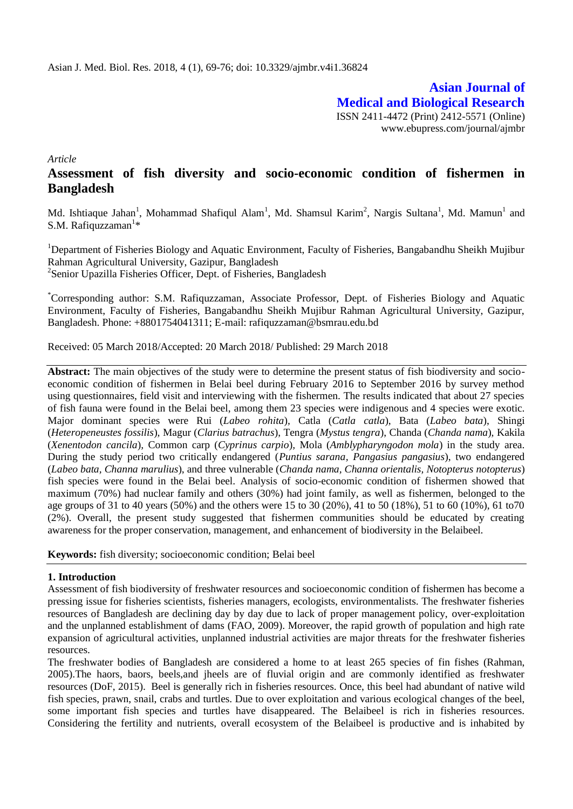**Asian Journal of Medical and Biological Research** ISSN 2411-4472 (Print) 2412-5571 (Online) www.ebupress.com/journal/ajmbr

*Article*

# **Assessment of fish diversity and socio-economic condition of fishermen in Bangladesh**

Md. Ishtiaque Jahan<sup>1</sup>, Mohammad Shafiqul Alam<sup>1</sup>, Md. Shamsul Karim<sup>2</sup>, Nargis Sultana<sup>1</sup>, Md. Mamun<sup>1</sup> and S.M. Rafiquzzaman<sup>1\*</sup>

<sup>1</sup>Department of Fisheries Biology and Aquatic Environment, Faculty of Fisheries, Bangabandhu Sheikh Mujibur Rahman Agricultural University, Gazipur, Bangladesh <sup>2</sup>Senior Upazilla Fisheries Officer, Dept. of Fisheries, Bangladesh

\*Corresponding author: S.M. Rafiquzzaman, Associate Professor, Dept. of Fisheries Biology and Aquatic Environment, Faculty of Fisheries, Bangabandhu Sheikh Mujibur Rahman Agricultural University, Gazipur, Bangladesh. Phone: +8801754041311; E-mail: [rafiquzzaman@bsmrau.edu.bd](mailto:rafiquzzaman@bsmrau.edu.bd)

Received: 05 March 2018/Accepted: 20 March 2018/ Published: 29 March 2018

**Abstract:** The main objectives of the study were to determine the present status of fish biodiversity and socioeconomic condition of fishermen in Belai beel during February 2016 to September 2016 by survey method using questionnaires, field visit and interviewing with the fishermen. The results indicated that about 27 species of fish fauna were found in the Belai beel, among them 23 species were indigenous and 4 species were exotic. Major dominant species were Rui (*Labeo rohita*)*,* Catla (*Catla catla*), Bata (*Labeo bata*), Shingi (*Heteropeneustes fossilis*)*,* Magur (*Clarius batrachus*), Tengra (*Mystus tengra*), Chanda (*Chanda nama*)*,* Kakila (*Xenentodon cancila*)*,* Common carp (*Cyprinus carpio*)*,* Mola (*Amblypharyngodon mola*) in the study area. During the study period two critically endangered (*Puntius sarana, Pangasius pangasius*), two endangered (*Labeo bata, Channa marulius*), and three vulnerable (*Chanda nama, Channa orientalis, Notopterus notopterus*) fish species were found in the Belai beel. Analysis of socio-economic condition of fishermen showed that maximum (70%) had nuclear family and others (30%) had joint family, as well as fishermen, belonged to the age groups of 31 to 40 years (50%) and the others were 15 to 30 (20%), 41 to 50 (18%), 51 to 60 (10%), 61 to70 (2%). Overall, the present study suggested that fishermen communities should be educated by creating awareness for the proper conservation, management, and enhancement of biodiversity in the Belaibeel.

**Keywords:** fish diversity; socioeconomic condition; Belai beel

#### **1. Introduction**

Assessment of fish biodiversity of freshwater resources and socioeconomic condition of fishermen has become a pressing issue for fisheries scientists, fisheries managers, ecologists, environmentalists. The freshwater fisheries resources of Bangladesh are declining day by day due to lack of proper management policy, over-exploitation and the unplanned establishment of dams (FAO, 2009). Moreover, the rapid growth of population and high rate expansion of agricultural activities, unplanned industrial activities are major threats for the freshwater fisheries resources.

The freshwater bodies of Bangladesh are considered a home to at least 265 species of fin fishes (Rahman, 2005).The haors, baors, beels,and jheels are of fluvial origin and are commonly identified as freshwater resources (DoF, 2015). Beel is generally rich in fisheries resources. Once, this beel had abundant of native wild fish species, prawn, snail, crabs and turtles. Due to over exploitation and various ecological changes of the beel, some important fish species and turtles have disappeared. The Belaibeel is rich in fisheries resources. Considering the fertility and nutrients, overall ecosystem of the Belaibeel is productive and is inhabited by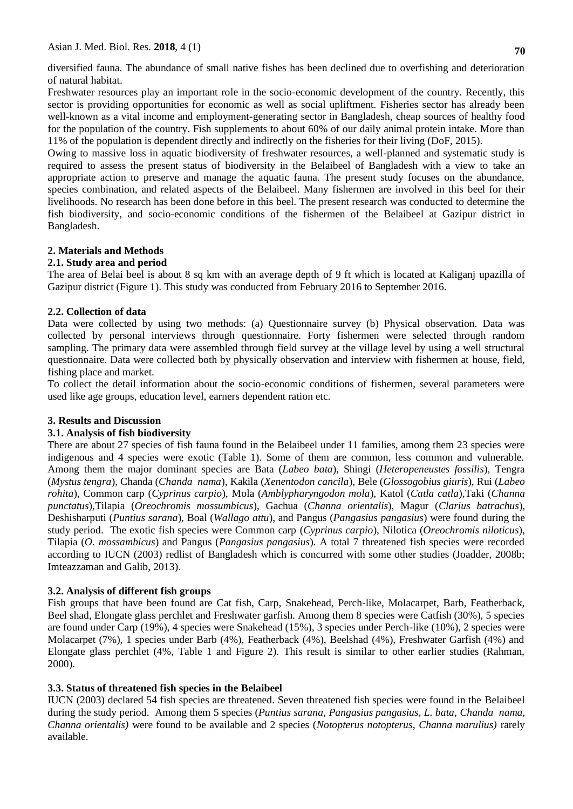Asian J. Med. Biol. Res. **2018**, 4 (1)

diversified fauna. The abundance of small native fishes has been declined due to overfishing and deterioration of natural habitat.

Freshwater resources play an important role in the socio-economic development of the country. Recently, this sector is providing opportunities for economic as well as social upliftment. Fisheries sector has already been well-known as a vital income and employment-generating sector in Bangladesh, cheap sources of healthy food for the population of the country. Fish supplements to about 60% of our daily animal protein intake. More than 11% of the population is dependent directly and indirectly on the fisheries for their living (DoF, 2015).

Owing to massive loss in aquatic biodiversity of freshwater resources, a well-planned and systematic study is required to assess the present status of biodiversity in the Belaibeel of Bangladesh with a view to take an appropriate action to preserve and manage the aquatic fauna. The present study focuses on the abundance, species combination, and related aspects of the Belaibeel. Many fishermen are involved in this beel for their livelihoods. No research has been done before in this beel. The present research was conducted to determine the fish biodiversity, and socio-economic conditions of the fishermen of the Belaibeel at Gazipur district in Bangladesh.

# **2. Materials and Methods**

# **2.1. Study area and period**

The area of Belai beel is about 8 sq km with an average depth of 9 ft which is located at Kaliganj upazilla of Gazipur district (Figure 1). This study was conducted from February 2016 to September 2016.

# **2.2. Collection of data**

Data were collected by using two methods: (a) Questionnaire survey (b) Physical observation. Data was collected by personal interviews through questionnaire. Forty fishermen were selected through random sampling. The primary data were assembled through field survey at the village level by using a well structural questionnaire. Data were collected both by physically observation and interview with fishermen at house, field, fishing place and market.

To collect the detail information about the socio-economic conditions of fishermen, several parameters were used like age groups, education level, earners dependent ration etc.

#### **3. Results and Discussion**

#### **3.1. Analysis of fish biodiversity**

There are about 27 species of fish fauna found in the Belaibeel under 11 families, among them 23 species were indigenous and 4 species were exotic (Table 1). Some of them are common, less common and vulnerable. Among them the major dominant species are Bata (*Labeo bata*), Shingi (*Heteropeneustes fossilis*)*,* Tengra (*Mystus tengra*)*,* Chanda (*Chanda nama*)*,* Kakila (*Xenentodon cancila*)*,* Bele (*Glossogobius giuris*)*,* Rui (*Labeo rohita*), Common carp (*Cyprinus carpio*)*,* Mola (*Amblypharyngodon mola*), Katol (*Catla catla*),Taki (*Channa punctatus*),Tilapia (*Oreochromis mossumbicus*), Gachua (*Channa orientalis*), Magur (*Clarius batrachus*)*,*  Deshisharputi (*Puntius sarana*)*,* Boal (*Wallago attu*), and Pangus (*Pangasius pangasius*) were found during the study period. The exotic fish species were Common carp (*Cyprinus carpio*), Nilotica (*Oreochromis niloticus*), Tilapia (*O. mossambicus*) and Pangus (*Pangasius pangasius*)*.* A total 7 threatened fish species were recorded according to IUCN (2003) redlist of Bangladesh which is concurred with some other studies (Joadder, 2008b; Imteazzaman and Galib, 2013).

#### **3.2. Analysis of different fish groups**

Fish groups that have been found are Cat fish, Carp, Snakehead, Perch-like, Molacarpet, Barb, Featherback, Beel shad, Elongate glass perchlet and Freshwater garfish. Among them 8 species were Catfish (30%), 5 species are found under Carp (19%), 4 species were Snakehead (15%), 3 species under Perch-like (10%), 2 species were Molacarpet (7%), 1 species under Barb (4%), Featherback (4%), Beelshad (4%), Freshwater Garfish (4%) and Elongate glass perchlet (4%, Table 1 and Figure 2). This result is similar to other earlier studies (Rahman, 2000).

# **3.3. Status of threatened fish species in the Belaibeel**

IUCN (2003) declared 54 fish species are threatened. Seven threatened fish species were found in the Belaibeel during the study period. Among them 5 species (*Puntius sarana, Pangasius pangasius, L. bata, Chanda nama, Channa orientalis)* were found to be available and 2 species (*Notopterus notopterus*, *Channa marulius)* rarely available.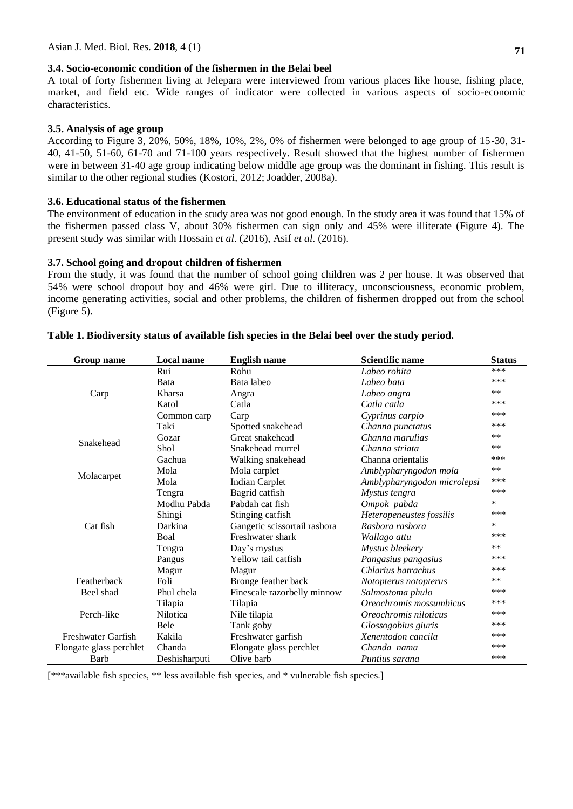#### **3.4. Socio-economic condition of the fishermen in the Belai beel**

A total of forty fishermen living at Jelepara were interviewed from various places like house, fishing place, market, and field etc. Wide ranges of indicator were collected in various aspects of socio-economic characteristics.

#### **3.5. Analysis of age group**

According to Figure 3, 20%, 50%, 18%, 10%, 2%, 0% of fishermen were belonged to age group of 15-30, 31- 40, 41-50, 51-60, 61-70 and 71-100 years respectively. Result showed that the highest number of fishermen were in between 31-40 age group indicating below middle age group was the dominant in fishing. This result is similar to the other regional studies (Kostori, 2012; Joadder, 2008a).

#### **3.6. Educational status of the fishermen**

The environment of education in the study area was not good enough. In the study area it was found that 15% of the fishermen passed class V, about 30% fishermen can sign only and 45% were illiterate (Figure 4). The present study was similar with Hossain *et al*. (2016), Asif *et al*. (2016).

#### **3.7. School going and dropout children of fishermen**

From the study, it was found that the number of school going children was 2 per house. It was observed that 54% were school dropout boy and 46% were girl. Due to illiteracy, unconsciousness, economic problem, income generating activities, social and other problems, the children of fishermen dropped out from the school (Figure 5).

| Group name              | <b>Local name</b> | <b>English name</b>          | <b>Scientific name</b>      | <b>Status</b> |
|-------------------------|-------------------|------------------------------|-----------------------------|---------------|
| Carp                    | Rui               | Rohu                         | Labeo rohita                | ***           |
|                         | Bata              | Bata labeo                   | Labeo bata                  | ***           |
|                         | Kharsa            | Angra                        | Labeo angra                 | $***$         |
|                         | Katol             | Catla                        | Catla catla                 | ***           |
|                         | Common carp       | Carp                         | Cyprinus carpio             | ***           |
|                         | Taki              | Spotted snakehead            | Channa punctatus            | ***           |
| Snakehead               | Gozar             | Great snakehead              | Channa marulias             | $***$         |
|                         | Shol              | Snakehead murrel             | Channa striata              | **            |
|                         | Gachua            | Walking snakehead            | Channa orientalis           | ***           |
| Molacarpet              | Mola              | Mola carplet                 | Amblypharyngodon mola       | **            |
|                         | Mola              | <b>Indian Carplet</b>        | Amblypharyngodon microlepsi | ***           |
| Cat fish                | Tengra            | Bagrid catfish               | Mystus tengra               | ***           |
|                         | Modhu Pabda       | Pabdah cat fish              | Ompok pabda                 | $\ast$        |
|                         | Shingi            | Stinging catfish             | Heteropeneustes fossilis    | ***           |
|                         | Darkina           | Gangetic scissortail rasbora | Rasbora rasbora             | $\ast$        |
|                         | Boal              | Freshwater shark             | Wallago attu                | ***           |
|                         | Tengra            | Day's mystus                 | Mystus bleekery             | $***$         |
|                         | Pangus            | Yellow tail catfish          | Pangasius pangasius         | ***           |
|                         | Magur             | Magur                        | Chlarius batrachus          | ***           |
| Featherback             | Foli              | Bronge feather back          | Notopterus notopterus       | $***$         |
| Beel shad               | Phul chela        | Finescale razorbelly minnow  | Salmostoma phulo            | ***           |
|                         | Tilapia           | Tilapia                      | Oreochromis mossumbicus     | ***           |
| Perch-like              | <b>Nilotica</b>   | Nile tilapia                 | Oreochromis niloticus       | ***           |
|                         | Bele              | Tank goby                    | Glossogobius giuris         | ***           |
| Freshwater Garfish      | Kakila            | Freshwater garfish           | Xenentodon cancila          | ***           |
| Elongate glass perchlet | Chanda            | Elongate glass perchlet      | Chanda nama                 | ***           |
| Barb                    | Deshisharputi     | Olive barb                   | Puntius sarana              | ***           |

#### **Table 1. Biodiversity status of available fish species in the Belai beel over the study period.**

[\*\*\*available fish species, \*\* less available fish species, and \* vulnerable fish species.]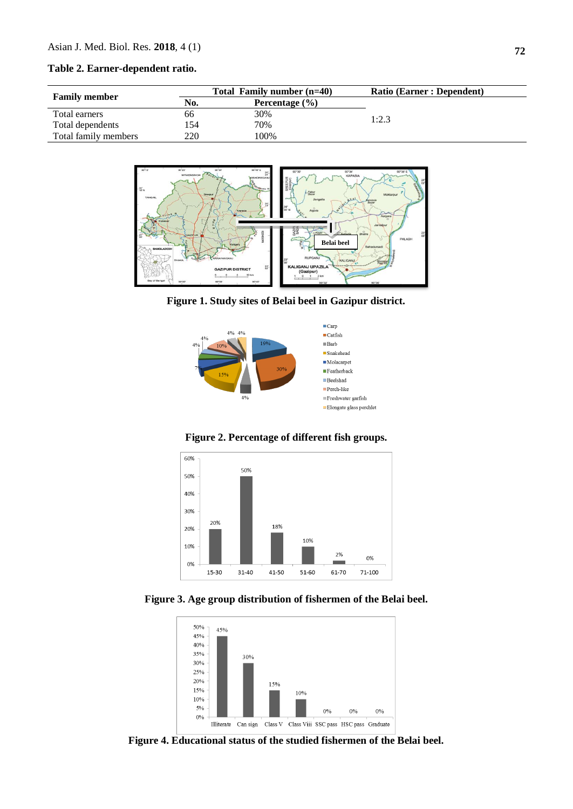#### **Table 2. Earner-dependent ratio.**

|                      | Total Family number (n=40) |                    | <b>Ratio (Earner: Dependent)</b> |
|----------------------|----------------------------|--------------------|----------------------------------|
| <b>Family member</b> | No.                        | Percentage $(\% )$ |                                  |
| Total earners        | 66                         | 30%                | 1:2.3                            |
| Total dependents     | l 54                       | 70%                |                                  |
| Total family members | 220                        | 100%               |                                  |



**Figure 1. Study sites of Belai beel in Gazipur district.**



**Figure 2. Percentage of different fish groups.**



**Figure 3. Age group distribution of fishermen of the Belai beel.**



**Figure 4. Educational status of the studied fishermen of the Belai beel.**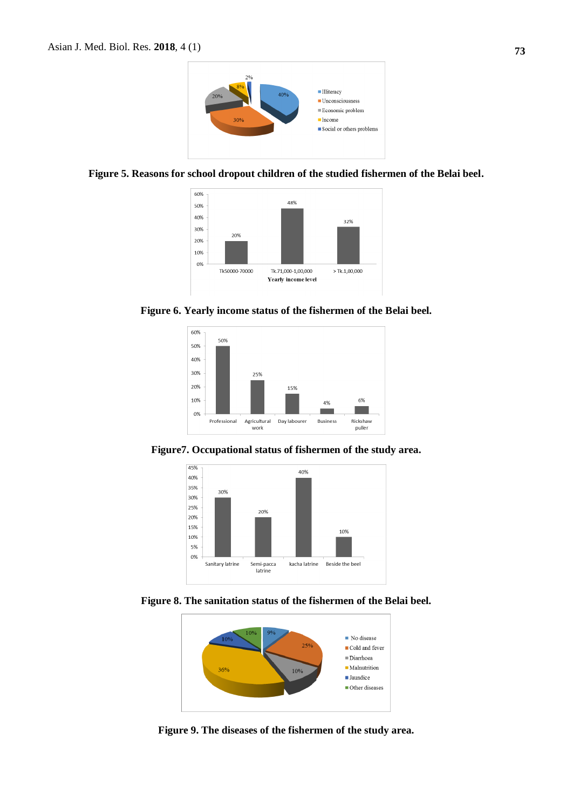

#### **Figure 5. Reasons for school dropout children of the studied fishermen of the Belai beel.**



**Figure 6. Yearly income status of the fishermen of the Belai beel.**



**Figure7. Occupational status of fishermen of the study area.**



**Figure 8. The sanitation status of the fishermen of the Belai beel.**



**Figure 9. The diseases of the fishermen of the study area.**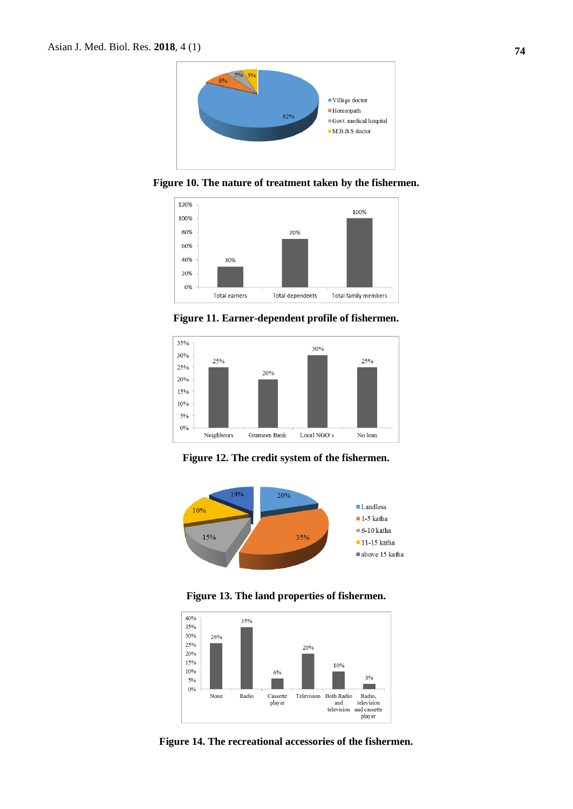

**Figure 10. The nature of treatment taken by the fishermen.**



**Figure 11. Earner-dependent profile of fishermen.**



**Figure 12. The credit system of the fishermen.**



**Figure 13. The land properties of fishermen.**



**Figure 14. The recreational accessories of the fishermen.**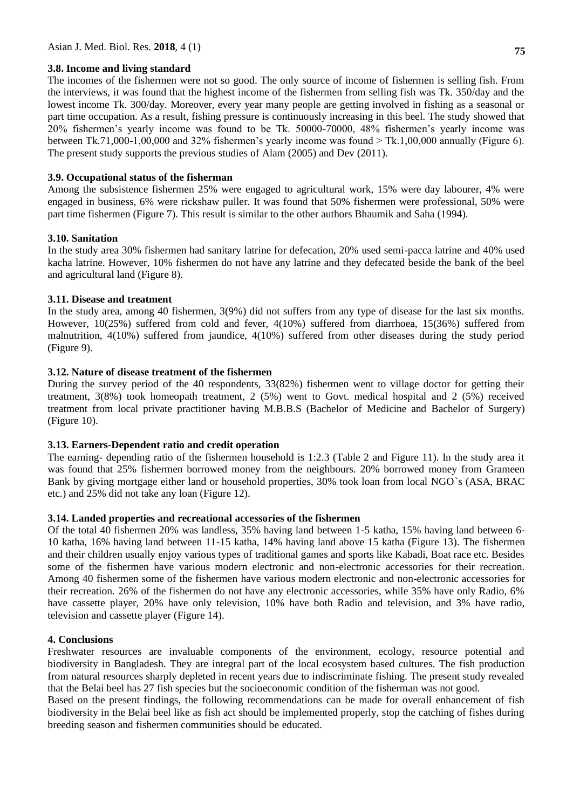#### **3.8. Income and living standard**

The incomes of the fishermen were not so good. The only source of income of fishermen is selling fish. From the interviews, it was found that the highest income of the fishermen from selling fish was Tk. 350/day and the lowest income Tk. 300/day. Moreover, every year many people are getting involved in fishing as a seasonal or part time occupation. As a result, fishing pressure is continuously increasing in this beel. The study showed that 20% fishermen's yearly income was found to be Tk. 50000-70000, 48% fishermen's yearly income was between Tk.71,000-1,00,000 and 32% fishermen's yearly income was found  $>$  Tk.1,00,000 annually (Figure 6). The present study supports the previous studies of Alam (2005) and Dev (2011).

# **3.9. Occupational status of the fisherman**

Among the subsistence fishermen 25% were engaged to agricultural work, 15% were day labourer, 4% were engaged in business, 6% were rickshaw puller. It was found that 50% fishermen were professional, 50% were part time fishermen (Figure 7). This result is similar to the other authors Bhaumik and Saha (1994).

# **3.10. Sanitation**

In the study area 30% fishermen had sanitary latrine for defecation, 20% used semi-pacca latrine and 40% used kacha latrine. However, 10% fishermen do not have any latrine and they defecated beside the bank of the beel and agricultural land (Figure 8).

# **3.11. Disease and treatment**

In the study area, among 40 fishermen, 3(9%) did not suffers from any type of disease for the last six months. However, 10(25%) suffered from cold and fever, 4(10%) suffered from diarrhoea, 15(36%) suffered from malnutrition, 4(10%) suffered from jaundice, 4(10%) suffered from other diseases during the study period (Figure 9).

# **3.12. Nature of disease treatment of the fishermen**

During the survey period of the 40 respondents, 33(82%) fishermen went to village doctor for getting their treatment, 3(8%) took homeopath treatment, 2 (5%) went to Govt. medical hospital and 2 (5%) received treatment from local private practitioner having M.B.B.S (Bachelor of Medicine and Bachelor of Surgery) (Figure 10).

# **3.13. Earners-Dependent ratio and credit operation**

The earning- depending ratio of the fishermen household is 1:2.3 (Table 2 and Figure 11). In the study area it was found that 25% fishermen borrowed money from the neighbours. 20% borrowed money from Grameen Bank by giving mortgage either land or household properties, 30% took loan from local NGO`s (ASA, BRAC etc.) and 25% did not take any loan (Figure 12).

#### **3.14. Landed properties and recreational accessories of the fishermen**

Of the total 40 fishermen 20% was landless, 35% having land between 1-5 katha, 15% having land between 6- 10 katha, 16% having land between 11-15 katha, 14% having land above 15 katha (Figure 13). The fishermen and their children usually enjoy various types of traditional games and sports like Kabadi, Boat race etc. Besides some of the fishermen have various modern electronic and non-electronic accessories for their recreation. Among 40 fishermen some of the fishermen have various modern electronic and non-electronic accessories for their recreation. 26% of the fishermen do not have any electronic accessories, while 35% have only Radio, 6% have cassette player, 20% have only television, 10% have both Radio and television, and 3% have radio, television and cassette player (Figure 14).

# **4. Conclusions**

Freshwater resources are invaluable components of the environment, ecology, resource potential and biodiversity in Bangladesh. They are integral part of the local ecosystem based cultures. The fish production from natural resources sharply depleted in recent years due to indiscriminate fishing. The present study revealed that the Belai beel has 27 fish species but the socioeconomic condition of the fisherman was not good.

Based on the present findings, the following recommendations can be made for overall enhancement of fish biodiversity in the Belai beel like as fish act should be implemented properly, stop the catching of fishes during breeding season and fishermen communities should be educated.